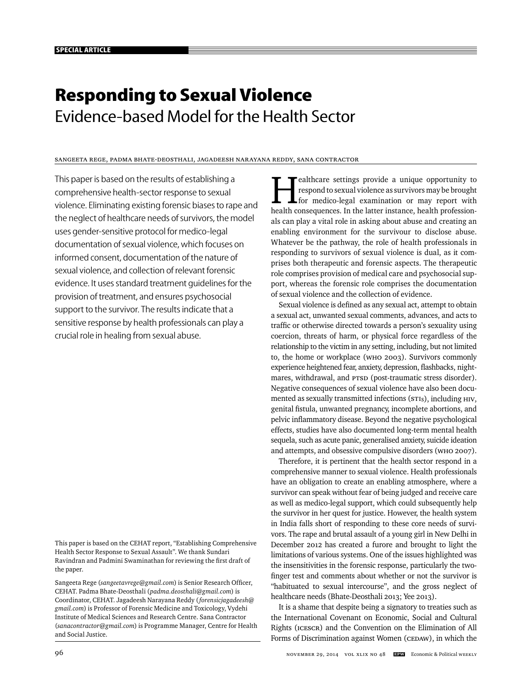# **Responding to Sexual Violence** Evidence-based Model for the Health Sector

# Sangeeta Rege, Padma Bhate-Deosthali, Jagadeesh Narayana Reddy, Sana Contractor

This paper is based on the results of establishing a comprehensive health-sector response to sexual violence. Eliminating existing forensic biases to rape and the neglect of healthcare needs of survivors, the model uses gender-sensitive protocol for medico-legal documentation of sexual violence, which focuses on informed consent, documentation of the nature of sexual violence, and collection of relevant forensic evidence. It uses standard treatment guidelines for the provision of treatment, and ensures psychosocial support to the survivor. The results indicate that a sensitive response by health professionals can play a crucial role in healing from sexual abuse.

This paper is based on the CEHAT report, "Establishing Comprehensive Health Sector Response to Sexual Assault". We thank Sundari Ravindran and Padmini Swaminathan for reviewing the first draft of the paper.

Sangeeta Rege (sangeetavrege@gmail.com) is Senior Research Officer, CEHAT. Padma Bhate- Deosthali (*padma.deosthali@gmail.com*) is Coordinator, CEHAT. Jagadeesh Narayana Reddy ( *forensicjagadeesh@ gmail.com*) is Professor of Forensic Medicine and Toxicology, Vydehi Institute of Medical Sciences and Research Centre. Sana Contractor (*sanacontractor@gmail.com*) is Programme Manager, Centre for Health and Social Justice.

ealthcare settings provide a unique opportunity to respond to sexual violence as survivors may be brought for medico-legal examination or may report with health consequences. In the latter instance, health professionals can play a vital role in asking about abuse and creating an enabling environment for the survivour to disclose abuse. Whatever be the pathway, the role of health professionals in responding to survivors of sexual violence is dual, as it comprises both therapeutic and forensic aspects. The therapeutic role comprises provision of medical care and psychosocial support, whereas the forensic role comprises the documentation of sexual violence and the collection of evidence.

Sexual violence is defined as any sexual act, attempt to obtain a sexual act, unwanted sexual comments, advances, and acts to traffic or otherwise directed towards a person's sexuality using coercion, threats of harm, or physical force regardless of the relationship to the victim in any setting, including, but not limited to, the home or workplace (WHO 2003). Survivors commonly experience heightened fear, anxiety, depression, flashbacks, nightmares, withdrawal, and PTSD (post-traumatic stress disorder). Negative consequences of sexual violence have also been documented as sexually transmitted infections (STIs), including HIV, genital fistula, unwanted pregnancy, incomplete abortions, and pelvic inflammatory disease. Beyond the negative psychological effects, studies have also documented long-term mental health sequela, such as acute panic, generalised anxiety, suicide ideation and attempts, and obsessive compulsive disorders (WHO 2007).

Therefore, it is pertinent that the health sector respond in a comprehensive manner to sexual violence. Health professionals have an obligation to create an enabling atmosphere, where a survivor can speak without fear of being judged and receive care as well as medico-legal support, which could subsequently help the survivor in her quest for justice. However, the health system in India falls short of responding to these core needs of survivors. The rape and brutal assault of a young girl in New Delhi in December 2012 has created a furore and brought to light the limitations of various systems. One of the issues highlighted was the insensitivities in the forensic response, particularly the twofinger test and comments about whether or not the survivor is "habituated to sexual intercourse", and the gross neglect of healthcare needs (Bhate-Deosthali 2013; Yee 2013).

It is a shame that despite being a signatory to treaties such as the International Covenant on Economic, Social and Cultural Rights (ICESCR) and the Convention on the Elimination of All Forms of Discrimination against Women (CEDAW), in which the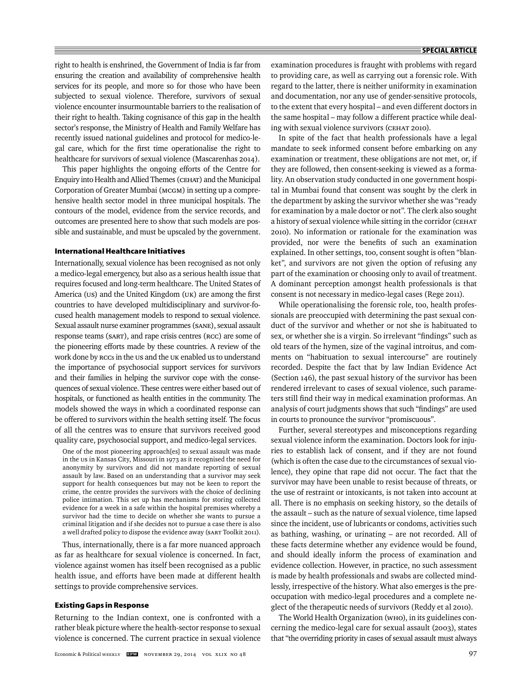right to health is enshrined, the Government of India is far from ensuring the creation and availability of comprehensive health services for its people, and more so for those who have been subjected to sexual violence. Therefore, survivors of sexual violence encounter insurmountable barriers to the realisation of their right to health. Taking cognisance of this gap in the health sector's response, the Ministry of Health and Family Welfare has recently issued national guidelines and protocol for medico-legal care, which for the first time operationalise the right to healthcare for survivors of sexual violence (Mascarenhas 2014).

This paper highlights the ongoing efforts of the Centre for Enquiry into Health and Allied Themes (CEHAT) and the Municipal Corporation of Greater Mumbai (MCGM) in setting up a comprehensive health sector model in three municipal hospitals. The contours of the model, evidence from the service records, and outcomes are presented here to show that such models are possible and sustainable, and must be upscaled by the government.

## **International Healthcare Initiatives**

Internationally, sexual violence has been recognised as not only a medico-legal emergency, but also as a serious health issue that requires focused and long-term healthcare. The United States of America (US) and the United Kingdom (UK) are among the first countries to have developed multidisciplinary and survivor-focused health management models to respond to sexual violence. Sexual assault nurse examiner programmes (SANE), sexual assault response teams (SART), and rape crisis centres (RCC) are some of the pioneering efforts made by these countries. A review of the work done by RCCs in the US and the UK enabled us to understand the importance of psychosocial support services for survivors and their families in helping the survivor cope with the consequences of sexual violence. These centres were either based out of hospitals, or functioned as health entities in the community. The models showed the ways in which a coordinated response can be offered to survivors within the health setting itself. The focus of all the centres was to ensure that survivors received good quality care, psychosocial support, and medico-legal services.

One of the most pioneering approach[es] to sexual assault was made in the US in Kansas City, Missouri in 1973 as it recognised the need for anonymity by survivors and did not mandate reporting of sexual assault by law. Based on an understanding that a survivor may seek support for health consequences but may not be keen to report the crime, the centre provides the survivors with the choice of declining police intimation. This set up has mechanisms for storing collected evidence for a week in a safe within the hospital premises whereby a survivor had the time to decide on whether she wants to pursue a criminal litigation and if she decides not to pursue a case there is also a well drafted policy to dispose the evidence away (SART Toolkit 2011).

Thus, internationally, there is a far more nuanced approach as far as healthcare for sexual violence is concerned. In fact, violence against women has itself been recognised as a public health issue, and efforts have been made at different health settings to provide comprehensive services.

## **Existing Gaps in Response**

Returning to the Indian context, one is confronted with a rather bleak picture where the health-sector response to sexual violence is concerned. The current practice in sexual violence

examination procedures is fraught with problems with regard to providing care, as well as carrying out a forensic role. With regard to the latter, there is neither uniformity in examination and documentation, nor any use of gender-sensitive protocols, to the extent that every hospital – and even different doctors in the same hospital – may follow a different practice while dealing with sexual violence survivors (CEHAT 2010).

In spite of the fact that health professionals have a legal mandate to seek informed consent before embarking on any examination or treatment, these obligations are not met, or, if they are followed, then consent-seeking is viewed as a formality. An observation study conducted in one government hospital in Mumbai found that consent was sought by the clerk in the department by asking the survivor whether she was "ready for examination by a male doctor or not". The clerk also sought a history of sexual violence while sitting in the corridor (CEHAT 2010). No information or rationale for the examination was provided, nor were the benefits of such an examination explained. In other settings, too, consent sought is often "blanket", and survivors are not given the option of refusing any part of the examination or choosing only to avail of treatment. A dominant perception amongst health professionals is that consent is not necessary in medico-legal cases (Rege 2011).

While operationalising the forensic role, too, health professionals are preoccupied with determining the past sexual conduct of the survivor and whether or not she is habituated to sex, or whether she is a virgin. So irrelevant "findings" such as old tears of the hymen, size of the vaginal introitus, and comments on "habituation to sexual intercourse" are routinely recorded. Despite the fact that by law Indian Evidence Act (Section 146), the past sexual history of the survivor has been rendered irrelevant to cases of sexual violence, such parameters still find their way in medical examination proformas. An analysis of court judgments shows that such "findings" are used in courts to pronounce the survivor "promiscuous".

Further, several stereotypes and misconceptions regarding sexual violence inform the examination. Doctors look for injuries to establish lack of consent, and if they are not found (which is often the case due to the circumstances of sexual violence), they opine that rape did not occur. The fact that the survivor may have been unable to resist because of threats, or the use of restraint or intoxicants, is not taken into account at all. There is no emphasis on seeking history, so the details of the assault – such as the nature of sexual violence, time lapsed since the incident, use of lubricants or condoms, activities such as bathing, washing, or urinating – are not recorded. All of these facts determine whether any evidence would be found, and should ideally inform the process of examination and evidence collection. However, in practice, no such assessment is made by health professionals and swabs are collected mindlessly, irrespective of the history. What also emerges is the preoccupation with medico-legal procedures and a complete neglect of the therapeutic needs of survivors (Reddy et al 2010).

The World Health Organization (WHO), in its guidelines concerning the medico-legal care for sexual assault (2003), states that "the overriding priority in cases of sexual assault must always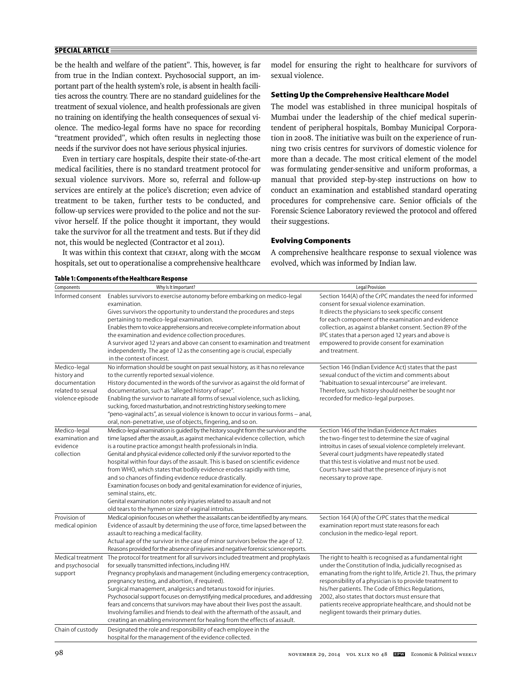# **SPECIAL ARTICLE**

be the health and welfare of the patient". This, however, is far from true in the Indian context. Psychosocial support, an important part of the health system's role, is absent in health facilities across the country. There are no standard guidelines for the treatment of sexual violence, and health professionals are given no training on identifying the health consequences of sexual violence. The medico-legal forms have no space for recording "treatment provided", which often results in neglecting those needs if the survivor does not have serious physical injuries.

Even in tertiary care hospitals, despite their state-of-the-art medical facilities, there is no standard treatment protocol for sexual violence survivors. More so, referral and follow-up services are entirely at the police's discretion; even advice of treatment to be taken, further tests to be conducted, and follow-up services were provided to the police and not the survivor herself. If the police thought it important, they would take the survivor for all the treatment and tests. But if they did not, this would be neglected (Contractor et al 2011).

It was within this context that CEHAT, along with the MCGM hospitals, set out to operationalise a comprehensive healthcare

model for ensuring the right to healthcare for survivors of sexual violence.

## **Setting Up the Comprehensive Healthcare Model**

The model was established in three municipal hospitals of Mumbai under the leadership of the chief medical superintendent of peripheral hospitals, Bombay Municipal Corporation in 2008. The initiative was built on the experience of running two crisis centres for survivors of domestic violence for more than a decade. The most critical element of the model was formulating gender-sensitive and uniform proformas, a manual that provided step-by-step instructions on how to conduct an examination and established standard operating procedures for comprehensive care. Senior officials of the Forensic Science Laboratory reviewed the protocol and offered their suggestions.

## **Evolving Components**

A comprehensive healthcare response to sexual violence was evolved, which was informed by Indian law.

| Components                                                                            | rawre in components or the meantmeate nesponse<br>Why Is It Important?                                                                                                                                                                                                                                                                                                                                                                                                                                                                                                                                                                                                                                                                                                            | Legal Provision                                                                                                                                                                                                                                                                                                                                                                                                                                                       |
|---------------------------------------------------------------------------------------|-----------------------------------------------------------------------------------------------------------------------------------------------------------------------------------------------------------------------------------------------------------------------------------------------------------------------------------------------------------------------------------------------------------------------------------------------------------------------------------------------------------------------------------------------------------------------------------------------------------------------------------------------------------------------------------------------------------------------------------------------------------------------------------|-----------------------------------------------------------------------------------------------------------------------------------------------------------------------------------------------------------------------------------------------------------------------------------------------------------------------------------------------------------------------------------------------------------------------------------------------------------------------|
| Informed consent                                                                      | Enables survivors to exercise autonomy before embarking on medico-legal<br>examination.<br>Gives survivors the opportunity to understand the procedures and steps<br>pertaining to medico-legal examination.<br>Enables them to voice apprehensions and receive complete information about<br>the examination and evidence collection procedures.<br>A survivor aged 12 years and above can consent to examination and treatment<br>independently. The age of 12 as the consenting age is crucial, especially<br>in the context of incest.                                                                                                                                                                                                                                        | Section 164(A) of the CrPC mandates the need for informed<br>consent for sexual violence examination.<br>It directs the physicians to seek specific consent<br>for each component of the examination and evidence<br>collection, as against a blanket consent. Section 89 of the<br>IPC states that a person aged 12 years and above is<br>empowered to provide consent for examination<br>and treatment.                                                             |
| Medico-legal<br>history and<br>documentation<br>related to sexual<br>violence episode | No information should be sought on past sexual history, as it has no relevance<br>to the currently reported sexual violence.<br>History documented in the words of the survivor as against the old format of<br>documentation, such as "alleged history of rape".<br>Enabling the survivor to narrate all forms of sexual violence, such as licking,<br>sucking, forced masturbation, and not restricting history seeking to mere<br>"peno-vaginal acts", as sexual violence is known to occur in various forms - anal,<br>oral, non-penetrative, use of objects, fingering, and so on.                                                                                                                                                                                           | Section 146 (Indian Evidence Act) states that the past<br>sexual conduct of the victim and comments about<br>"habituation to sexual intercourse" are irrelevant.<br>Therefore, such history should neither be sought nor<br>recorded for medico-legal purposes.                                                                                                                                                                                                       |
| Medico-legal<br>examination and<br>evidence<br>collection                             | Medico-legal examination is guided by the history sought from the survivor and the<br>time lapsed after the assault, as against mechanical evidence collection, which<br>is a routine practice amongst health professionals in India.<br>Genital and physical evidence collected only if the survivor reported to the<br>hospital within four days of the assault. This is based on scientific evidence<br>from WHO, which states that bodily evidence erodes rapidly with time,<br>and so chances of finding evidence reduce drastically.<br>Examination focuses on body and genital examination for evidence of injuries,<br>seminal stains, etc.<br>Genital examination notes only injuries related to assault and not<br>old tears to the hymen or size of vaginal introitus. | Section 146 of the Indian Evidence Act makes<br>the two-finger test to determine the size of vaginal<br>introitus in cases of sexual violence completely irrelevant.<br>Several court judgments have repeatedly stated<br>that this test is violative and must not be used.<br>Courts have said that the presence of injury is not<br>necessary to prove rape.                                                                                                        |
| Provision of<br>medical opinion                                                       | Medical opinion focuses on whether the assailants can be identified by any means.<br>Evidence of assault by determining the use of force, time lapsed between the<br>assault to reaching a medical facility.<br>Actual age of the survivor in the case of minor survivors below the age of 12.<br>Reasons provided for the absence of injuries and negative forensic science reports.                                                                                                                                                                                                                                                                                                                                                                                             | Section 164 (A) of the CrPC states that the medical<br>examination report must state reasons for each<br>conclusion in the medico-legal report.                                                                                                                                                                                                                                                                                                                       |
| Medical treatment<br>and psychosocial<br>support                                      | The protocol for treatment for all survivors included treatment and prophylaxis<br>for sexually transmitted infections, including HIV.<br>Pregnancy prophylaxis and management (including emergency contraception,<br>pregnancy testing, and abortion, if required).<br>Surgical management, analgesics and tetanus toxoid for injuries.<br>Psychosocial support focuses on demystifying medical procedures, and addressing<br>fears and concerns that survivors may have about their lives post the assault.<br>Involving families and friends to deal with the aftermath of the assault, and<br>creating an enabling environment for healing from the effects of assault.                                                                                                       | The right to health is recognised as a fundamental right<br>under the Constitution of India, judicially recognised as<br>emanating from the right to life, Article 21. Thus, the primary<br>responsibility of a physician is to provide treatment to<br>his/her patients. The Code of Ethics Regulations,<br>2002, also states that doctors must ensure that<br>patients receive appropriate healthcare, and should not be<br>negligent towards their primary duties. |
| Chain of custody                                                                      | Designated the role and responsibility of each employee in the<br>hospital for the management of the evidence collected.                                                                                                                                                                                                                                                                                                                                                                                                                                                                                                                                                                                                                                                          |                                                                                                                                                                                                                                                                                                                                                                                                                                                                       |

## **Table 1: Components of the Healthcare Response**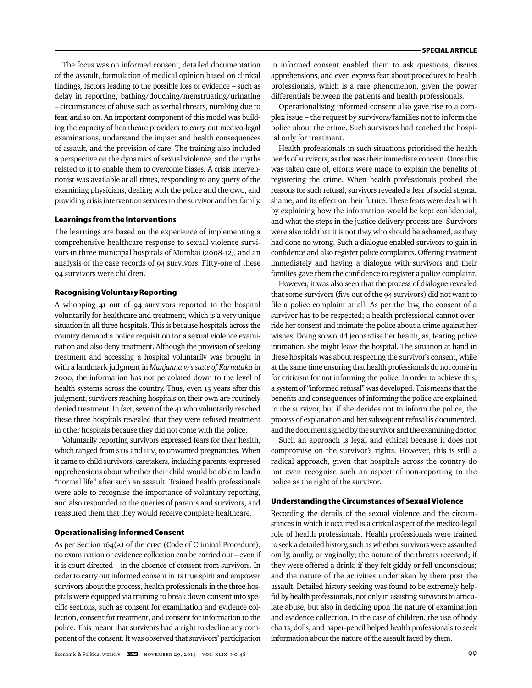The focus was on informed consent, detailed documentation of the assault, formulation of medical opinion based on clinical findings, factors leading to the possible loss of evidence - such as delay in reporting, bathing/douching/menstruating/urinating – circumstances of abuse such as verbal threats, numbing due to fear, and so on. An important component of this model was building the capacity of healthcare providers to carry out medico-legal examinations, understand the impact and health consequences of assault, and the provision of care. The training also included a perspective on the dynamics of sexual violence, and the myths related to it to enable them to overcome biases. A crisis interventionist was available at all times, responding to any query of the examining physicians, dealing with the police and the CWC, and providing crisis intervention services to the survivor and her family.

## **Learnings from the Interventions**

The learnings are based on the experience of implementing a comprehensive healthcare response to sexual violence survivors in three municipal hospitals of Mumbai (2008-12), and an analysis of the case records of 94 survivors. Fifty-one of these 94 survivors were children.

## **Recognising Voluntary Reporting**

A whopping 41 out of 94 survivors reported to the hospital voluntarily for healthcare and treatment, which is a very unique situation in all three hospitals. This is because hospitals across the country demand a police requisition for a sexual violence examination and also deny treatment. Although the provision of seeking treatment and accessing a hospital voluntarily was brought in with a landmark judgment in *Manjanna v/s state of Karnataka* in 2000, the information has not percolated down to the level of health systems across the country. Thus, even 13 years after this judgment, survivors reaching hospitals on their own are routinely denied treatment. In fact, seven of the 41 who voluntarily reached these three hospitals revealed that they were refused treatment in other hospitals because they did not come with the police.

Voluntarily reporting survivors expressed fears for their health, which ranged from stis and HIV, to unwanted pregnancies. When it came to child survivors, caretakers, including parents, expressed apprehensions about whether their child would be able to lead a "normal life" after such an assault. Trained health professionals were able to recognise the importance of voluntary reporting, and also responded to the queries of parents and survivors, and reassured them that they would receive complete healthcare.

## **Operationalising Informed Consent**

As per Section 164(A) of the CrPC (Code of Criminal Procedure), no examination or evidence collection can be carried out – even if it is court directed – in the absence of consent from survivors. In order to carry out informed consent in its true spirit and empower survivors about the process, health professionals in the three hospitals were equipped via training to break down consent into specific sections, such as consent for examination and evidence collection, consent for treatment, and consent for information to the police. This meant that survivors had a right to decline any component of the consent. It was observed that survivors' participation

in informed consent enabled them to ask questions, discuss apprehensions, and even express fear about procedures to health professionals, which is a rare phenomenon, given the power differentials between the patients and health professionals.

Operationalising informed consent also gave rise to a complex issue – the request by survivors/families not to inform the police about the crime. Such survivors had reached the hospital only for treatment.

Health professionals in such situations prioritised the health needs of survivors, as that was their immediate concern. Once this was taken care of, efforts were made to explain the benefits of registering the crime. When health professionals probed the reasons for such refusal, survivors revealed a fear of social stigma, shame, and its effect on their future. These fears were dealt with by explaining how the information would be kept confidential, and what the steps in the justice delivery process are. Survivors were also told that it is not they who should be ashamed, as they had done no wrong. Such a dialogue enabled survivors to gain in confidence and also register police complaints. Offering treatment immediately and having a dialogue with survivors and their families gave them the confidence to register a police complaint.

However, it was also seen that the process of dialogue revealed that some survivors (five out of the 94 survivors) did not want to file a police complaint at all. As per the law, the consent of a survivor has to be respected; a health professional cannot override her consent and intimate the police about a crime against her wishes. Doing so would jeopardise her health, as, fearing police intimation, she might leave the hospital. The situation at hand in these hospitals was about respecting the survivor's consent, while at the same time ensuring that health professionals do not come in for criticism for not informing the police. In order to achieve this, a system of "informed refusal" was developed. This means that the benefits and consequences of informing the police are explained to the survivor, but if she decides not to inform the police, the process of explanation and her subsequent refusal is documented, and the document signed by the survivor and the examining doctor.

Such an approach is legal and ethical because it does not compromise on the survivor's rights. However, this is still a radical approach, given that hospitals across the country do not even recognise such an aspect of non-reporting to the police as the right of the survivor.

#### **Understanding the Circumstances of Sexual Violence**

Recording the details of the sexual violence and the circumstances in which it occurred is a critical aspect of the medico-legal role of health professionals. Health professionals were trained to seek a detailed history, such as whether survivors were assaulted orally, anally, or vaginally; the nature of the threats received; if they were offered a drink; if they felt giddy or fell unconscious; and the nature of the activities undertaken by them post the assault. Detailed history seeking was found to be extremely helpful by health professionals, not only in assisting survivors to articulate abuse, but also in deciding upon the nature of examination and evidence collection. In the case of children, the use of body charts, dolls, and paper-pencil helped health professionals to seek information about the nature of the assault faced by them.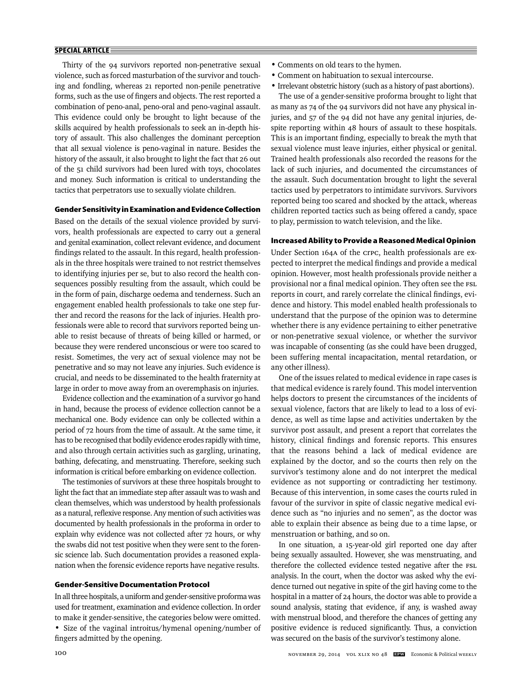# **SPECIAL ARTICLE**

Thirty of the 94 survivors reported non-penetrative sexual violence, such as forced masturbation of the survivor and touching and fondling, whereas 21 reported non-penile penetrative forms, such as the use of fingers and objects. The rest reported a combination of peno-anal, peno-oral and peno- vaginal assault. This evidence could only be brought to light because of the skills acquired by health professionals to seek an in-depth history of assault. This also challenges the dominant perception that all sexual violence is peno-vaginal in nature. Besides the history of the assault, it also brought to light the fact that 26 out of the 51 child survivors had been lured with toys, chocolates and money. Such information is critical to understanding the tactics that perpetrators use to sexually violate children.

# **Gender Sensitivity in Examination and Evidence Collection**

Based on the details of the sexual violence provided by survivors, health professionals are expected to carry out a general and genital examination, collect relevant evidence, and document findings related to the assault. In this regard, health professionals in the three hospitals were trained to not restrict themselves to identifying injuries per se, but to also record the health consequences possibly resulting from the assault, which could be in the form of pain, discharge oedema and tenderness. Such an engagement enabled health professionals to take one step further and record the reasons for the lack of injuries. Health professionals were able to record that survivors reported being unable to resist because of threats of being killed or harmed, or because they were rendered unconscious or were too scared to resist. Sometimes, the very act of sexual violence may not be penetrative and so may not leave any injuries. Such evidence is crucial, and needs to be disseminated to the health fraternity at large in order to move away from an overemphasis on injuries.

Evidence collection and the examination of a survivor go hand in hand, because the process of evidence collection cannot be a mechanical one. Body evidence can only be collected within a period of 72 hours from the time of assault. At the same time, it has to be recognised that bodily evidence erodes rapidly with time, and also through certain activities such as gargling, urinating, bathing, defecating, and menstruating. Therefore, seeking such information is critical before embarking on evidence collection.

The testimonies of survivors at these three hospitals brought to light the fact that an immediate step after assault was to wash and clean themselves, which was understood by health professionals as a natural, reflexive response. Any mention of such activities was documented by health professionals in the proforma in order to explain why evidence was not collected after 72 hours, or why the swabs did not test positive when they were sent to the forensic science lab. Such documentation provides a reasoned explanation when the forensic evidence reports have negative results.

#### **Gender-Sensitive Documentation Protocol**

In all three hospitals, a uniform and gender-sensitive proforma was used for treatment, examination and evidence collection. In order to make it gender-sensitive, the categories below were omitted. • Size of the vaginal introitus/hymenal opening/number of fingers admitted by the opening.

- Comments on old tears to the hymen.
- Comment on habituation to sexual intercourse.
- Irrelevant obstetric history (such as a history of past abortions).

The use of a gender-sensitive proforma brought to light that as many as 74 of the 94 survivors did not have any physical injuries, and 57 of the 94 did not have any genital injuries, despite reporting within 48 hours of assault to these hospitals. This is an important finding, especially to break the myth that sexual violence must leave injuries, either physical or genital. Trained health professionals also recorded the reasons for the lack of such injuries, and documented the circumstances of the assault. Such documentation brought to light the several tactics used by perpetrators to intimidate survivors. Survivors reported being too scared and shocked by the attack, whereas children reported tactics such as being offered a candy, space to play, permission to watch television, and the like.

## **Increased Ability to Provide a Reasoned Medical Opinion**

Under Section 164A of the crpc, health professionals are expected to interpret the medical findings and provide a medical opinion. However, most health professionals provide neither a provisional nor a final medical opinion. They often see the FSL reports in court, and rarely correlate the clinical findings, evidence and history. This model enabled health professionals to understand that the purpose of the opinion was to determine whether there is any evidence pertaining to either penetrative or non-penetrative sexual violence, or whether the survivor was incapable of consenting (as she could have been drugged, been suffering mental incapacitation, mental retardation, or any other illness).

One of the issues related to medical evidence in rape cases is that medical evidence is rarely found. This model intervention helps doctors to present the circumstances of the incidents of sexual violence, factors that are likely to lead to a loss of evidence, as well as time lapse and activities undertaken by the survivor post assault, and present a report that correlates the history, clinical findings and forensic reports. This ensures that the reasons behind a lack of medical evidence are explained by the doctor, and so the courts then rely on the survivor's testimony alone and do not interpret the medical evidence as not supporting or contradicting her testimony. Because of this intervention, in some cases the courts ruled in favour of the survivor in spite of classic negative medical evidence such as "no injuries and no semen", as the doctor was able to explain their absence as being due to a time lapse, or menstruation or bathing, and so on.

In one situation, a 15-year-old girl reported one day after being sexually assaulted. However, she was menstruating, and therefore the collected evidence tested negative after the FSL analysis. In the court, when the doctor was asked why the evidence turned out negative in spite of the girl having come to the hospital in a matter of 24 hours, the doctor was able to provide a sound analysis, stating that evidence, if any, is washed away with menstrual blood, and therefore the chances of getting any positive evidence is reduced significantly. Thus, a conviction was secured on the basis of the survivor's testimony alone.